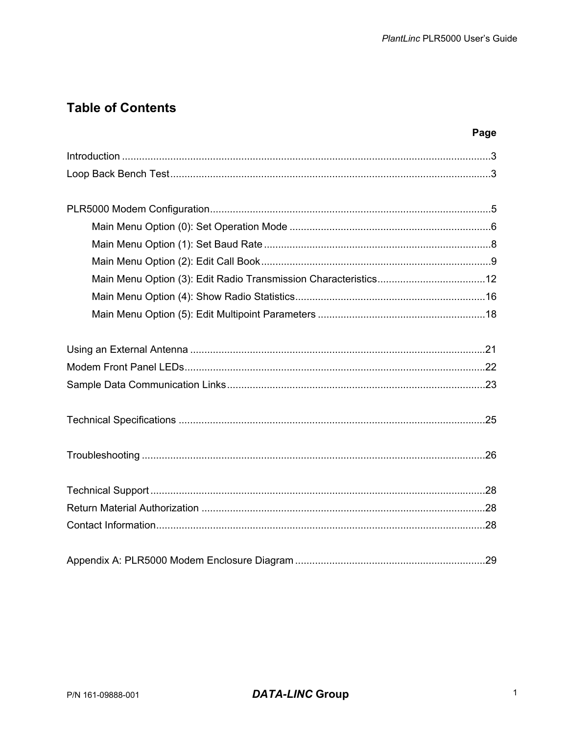### **Table of Contents**

| ×<br>٩ |  |
|--------|--|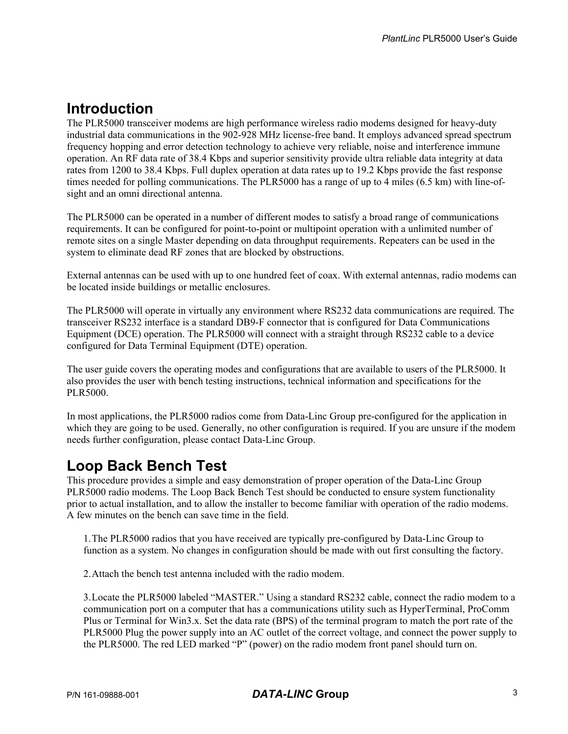### **Introduction**

The PLR5000 transceiver modems are high performance wireless radio modems designed for heavy-duty industrial data communications in the 902-928 MHz license-free band. It employs advanced spread spectrum frequency hopping and error detection technology to achieve very reliable, noise and interference immune operation. An RF data rate of 38.4 Kbps and superior sensitivity provide ultra reliable data integrity at data rates from 1200 to 38.4 Kbps. Full duplex operation at data rates up to 19.2 Kbps provide the fast response times needed for polling communications. The PLR5000 has a range of up to 4 miles (6.5 km) with line-ofsight and an omni directional antenna.

The PLR5000 can be operated in a number of different modes to satisfy a broad range of communications requirements. It can be configured for point-to-point or multipoint operation with a unlimited number of remote sites on a single Master depending on data throughput requirements. Repeaters can be used in the system to eliminate dead RF zones that are blocked by obstructions.

External antennas can be used with up to one hundred feet of coax. With external antennas, radio modems can be located inside buildings or metallic enclosures.

The PLR5000 will operate in virtually any environment where RS232 data communications are required. The transceiver RS232 interface is a standard DB9-F connector that is configured for Data Communications Equipment (DCE) operation. The PLR5000 will connect with a straight through RS232 cable to a device configured for Data Terminal Equipment (DTE) operation.

The user guide covers the operating modes and configurations that are available to users of the PLR5000. It also provides the user with bench testing instructions, technical information and specifications for the PLR5000.

In most applications, the PLR5000 radios come from Data-Linc Group pre-configured for the application in which they are going to be used. Generally, no other configuration is required. If you are unsure if the modem needs further configuration, please contact Data-Linc Group.

### **Loop Back Bench Test**

This procedure provides a simple and easy demonstration of proper operation of the Data-Linc Group PLR5000 radio modems. The Loop Back Bench Test should be conducted to ensure system functionality prior to actual installation, and to allow the installer to become familiar with operation of the radio modems. A few minutes on the bench can save time in the field.

1. The PLR5000 radios that you have received are typically pre-configured by Data-Linc Group to function as a system. No changes in configuration should be made with out first consulting the factory.

2. Attach the bench test antenna included with the radio modem.

3. Locate the PLR5000 labeled "MASTER." Using a standard RS232 cable, connect the radio modem to a communication port on a computer that has a communications utility such as HyperTerminal, ProComm Plus or Terminal for Win3.x. Set the data rate (BPS) of the terminal program to match the port rate of the PLR5000 Plug the power supply into an AC outlet of the correct voltage, and connect the power supply to the PLR5000. The red LED marked "P" (power) on the radio modem front panel should turn on.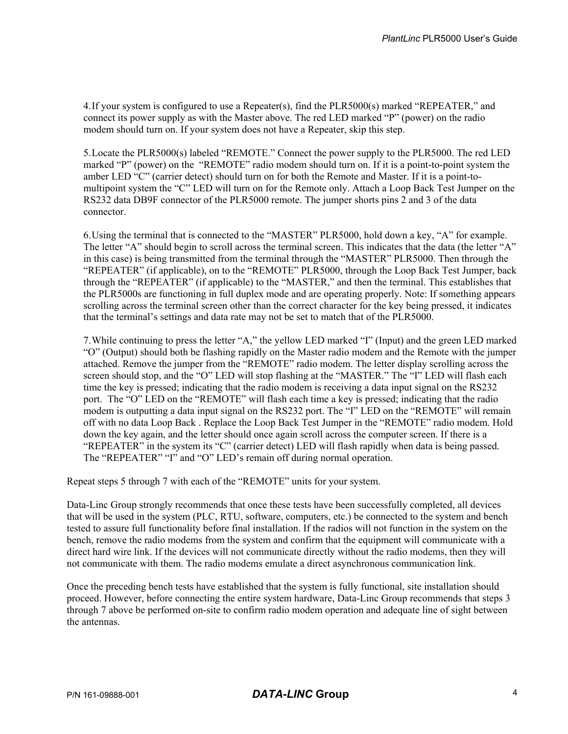4. If your system is configured to use a Repeater(s), find the PLR5000(s) marked "REPEATER," and connect its power supply as with the Master above. The red LED marked "P" (power) on the radio modem should turn on. If your system does not have a Repeater, skip this step.

5. Locate the PLR5000(s) labeled "REMOTE." Connect the power supply to the PLR5000. The red LED marked "P" (power) on the "REMOTE" radio modem should turn on. If it is a point-to-point system the amber LED "C" (carrier detect) should turn on for both the Remote and Master. If it is a point-tomultipoint system the "C" LED will turn on for the Remote only. Attach a Loop Back Test Jumper on the RS232 data DB9F connector of the PLR5000 remote. The jumper shorts pins 2 and 3 of the data connector.

6. Using the terminal that is connected to the "MASTER" PLR5000, hold down a key, "A" for example. The letter "A" should begin to scroll across the terminal screen. This indicates that the data (the letter "A" in this case) is being transmitted from the terminal through the "MASTER" PLR5000. Then through the "REPEATER" (if applicable), on to the "REMOTE" PLR5000, through the Loop Back Test Jumper, back through the "REPEATER" (if applicable) to the "MASTER," and then the terminal. This establishes that the PLR5000s are functioning in full duplex mode and are operating properly. Note: If something appears scrolling across the terminal screen other than the correct character for the key being pressed, it indicates that the terminal's settings and data rate may not be set to match that of the PLR5000.

7. While continuing to press the letter "A," the yellow LED marked "I" (Input) and the green LED marked "O" (Output) should both be flashing rapidly on the Master radio modem and the Remote with the jumper attached. Remove the jumper from the "REMOTE" radio modem. The letter display scrolling across the screen should stop, and the "O" LED will stop flashing at the "MASTER." The "I" LED will flash each time the key is pressed; indicating that the radio modem is receiving a data input signal on the RS232 port. The "O" LED on the "REMOTE" will flash each time a key is pressed; indicating that the radio modem is outputting a data input signal on the RS232 port. The "I" LED on the "REMOTE" will remain off with no data Loop Back . Replace the Loop Back Test Jumper in the "REMOTE" radio modem. Hold down the key again, and the letter should once again scroll across the computer screen. If there is a "REPEATER" in the system its "C" (carrier detect) LED will flash rapidly when data is being passed. The "REPEATER" "I" and "O" LED's remain off during normal operation.

Repeat steps 5 through 7 with each of the "REMOTE" units for your system.

Data-Linc Group strongly recommends that once these tests have been successfully completed, all devices that will be used in the system (PLC, RTU, software, computers, etc.) be connected to the system and bench tested to assure full functionality before final installation. If the radios will not function in the system on the bench, remove the radio modems from the system and confirm that the equipment will communicate with a direct hard wire link. If the devices will not communicate directly without the radio modems, then they will not communicate with them. The radio modems emulate a direct asynchronous communication link.

Once the preceding bench tests have established that the system is fully functional, site installation should proceed. However, before connecting the entire system hardware, Data-Linc Group recommends that steps 3 through 7 above be performed on-site to confirm radio modem operation and adequate line of sight between the antennas.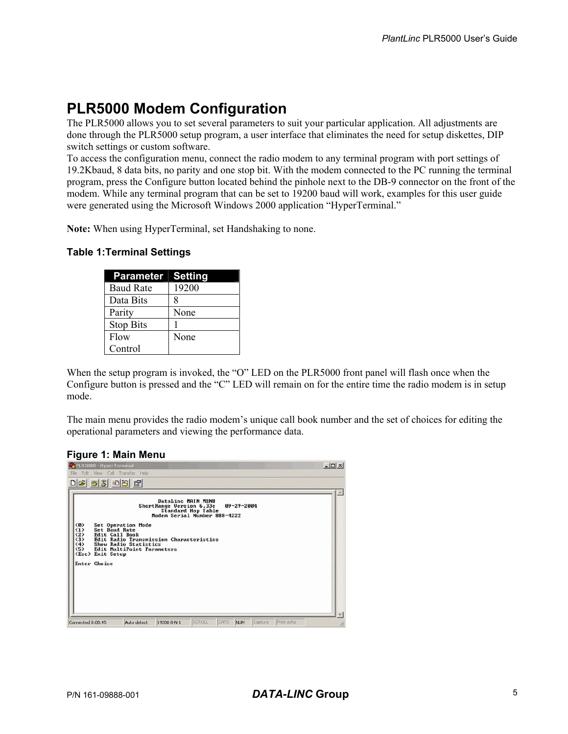### **PLR5000 Modem Configuration**

The PLR5000 allows you to set several parameters to suit your particular application. All adjustments are done through the PLR5000 setup program, a user interface that eliminates the need for setup diskettes, DIP switch settings or custom software.

To access the configuration menu, connect the radio modem to any terminal program with port settings of 19.2Kbaud, 8 data bits, no parity and one stop bit. With the modem connected to the PC running the terminal program, press the Configure button located behind the pinhole next to the DB-9 connector on the front of the modem. While any terminal program that can be set to 19200 baud will work, examples for this user guide were generated using the Microsoft Windows 2000 application "HyperTerminal."

**Note:** When using HyperTerminal, set Handshaking to none.

#### **Table 1:Terminal Settings**

| <b>Parameter</b> | <b>Setting</b> |
|------------------|----------------|
| <b>Baud Rate</b> | 19200          |
| Data Bits        | 8              |
| Parity           | None           |
| <b>Stop Bits</b> |                |
| Flow             | None           |
| Control          |                |

When the setup program is invoked, the "O" LED on the PLR5000 front panel will flash once when the Configure button is pressed and the "C" LED will remain on for the entire time the radio modem is in setup mode.

The main menu provides the radio modem's unique call book number and the set of choices for editing the operational parameters and viewing the performance data.

#### **Figure 1: Main Menu**

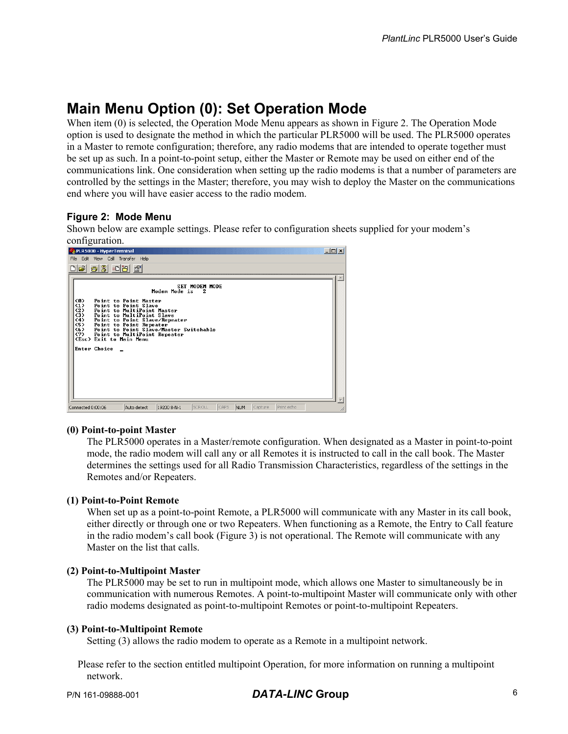### **Main Menu Option (0): Set Operation Mode**

When item (0) is selected, the Operation Mode Menu appears as shown in Figure 2. The Operation Mode option is used to designate the method in which the particular PLR5000 will be used. The PLR5000 operates in a Master to remote configuration; therefore, any radio modems that are intended to operate together must be set up as such. In a point-to-point setup, either the Master or Remote may be used on either end of the communications link. One consideration when setting up the radio modems is that a number of parameters are controlled by the settings in the Master; therefore, you may wish to deploy the Master on the communications end where you will have easier access to the radio modem.

#### **Figure 2: Mode Menu**

Shown below are example settings. Please refer to configuration sheets supplied for your modem's configuration.

| PLR5000 - HyperTerminal                                                                                                      |                                                                                                                                          |                                                                                                                     |                            |      |            |         |            | $\Box$ D $\times$ |
|------------------------------------------------------------------------------------------------------------------------------|------------------------------------------------------------------------------------------------------------------------------------------|---------------------------------------------------------------------------------------------------------------------|----------------------------|------|------------|---------|------------|-------------------|
| File Edit View Call Transfer Help                                                                                            |                                                                                                                                          |                                                                                                                     |                            |      |            |         |            |                   |
| <u>C 03 08 0</u>                                                                                                             |                                                                                                                                          |                                                                                                                     |                            |      |            |         |            |                   |
| <b>&lt;0&gt;</b><br>$\langle 1 \rangle$<br>(2)<br>(3)<br>(4)<br>(5)<br>(6)<br>(7)<br>(Esc) Exit to Main Menu<br>Enter Choice | Point to Point Master<br>Point to Point Slave<br>Point to MultiPoint Master<br>Point to MultiPoint Slave<br>Point to MultiPoint Repeater | Modem Mode is<br>Point to Point Slave/Repeater<br>Point to Point Repeater<br>Point to Point Slave/Master Switchable | <b>SET MODEM MODE</b><br>2 |      |            |         |            |                   |
|                                                                                                                              |                                                                                                                                          |                                                                                                                     |                            |      |            |         |            |                   |
| Connected 0:00:06                                                                                                            | Auto detect                                                                                                                              | 19200 8-N-1                                                                                                         | SCROLL                     | CAPS | <b>NUM</b> | Capture | Print echo |                   |

#### **(0) Point-to-point Master**

The PLR5000 operates in a Master/remote configuration. When designated as a Master in point-to-point mode, the radio modem will call any or all Remotes it is instructed to call in the call book. The Master determines the settings used for all Radio Transmission Characteristics, regardless of the settings in the Remotes and/or Repeaters.

#### **(1) Point-to-Point Remote**

When set up as a point-to-point Remote, a PLR5000 will communicate with any Master in its call book, either directly or through one or two Repeaters. When functioning as a Remote, the Entry to Call feature in the radio modem's call book (Figure 3) is not operational. The Remote will communicate with any Master on the list that calls.

#### **(2) Point-to-Multipoint Master**

The PLR5000 may be set to run in multipoint mode, which allows one Master to simultaneously be in communication with numerous Remotes. A point-to-multipoint Master will communicate only with other radio modems designated as point-to-multipoint Remotes or point-to-multipoint Repeaters.

#### **(3) Point-to-Multipoint Remote**

Setting (3) allows the radio modem to operate as a Remote in a multipoint network.

Please refer to the section entitled multipoint Operation, for more information on running a multipoint network.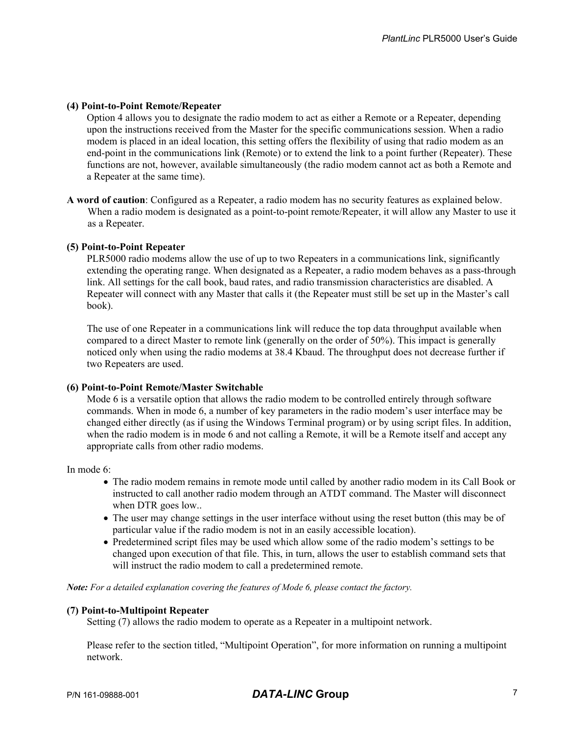#### **(4) Point-to-Point Remote/Repeater**

Option 4 allows you to designate the radio modem to act as either a Remote or a Repeater, depending upon the instructions received from the Master for the specific communications session. When a radio modem is placed in an ideal location, this setting offers the flexibility of using that radio modem as an end-point in the communications link (Remote) or to extend the link to a point further (Repeater). These functions are not, however, available simultaneously (the radio modem cannot act as both a Remote and a Repeater at the same time).

**A word of caution**: Configured as a Repeater, a radio modem has no security features as explained below. When a radio modem is designated as a point-to-point remote/Repeater, it will allow any Master to use it as a Repeater.

#### **(5) Point-to-Point Repeater**

PLR5000 radio modems allow the use of up to two Repeaters in a communications link, significantly extending the operating range. When designated as a Repeater, a radio modem behaves as a pass-through link. All settings for the call book, baud rates, and radio transmission characteristics are disabled. A Repeater will connect with any Master that calls it (the Repeater must still be set up in the Master's call book).

The use of one Repeater in a communications link will reduce the top data throughput available when compared to a direct Master to remote link (generally on the order of 50%). This impact is generally noticed only when using the radio modems at 38.4 Kbaud. The throughput does not decrease further if two Repeaters are used.

#### **(6) Point-to-Point Remote/Master Switchable**

Mode 6 is a versatile option that allows the radio modem to be controlled entirely through software commands. When in mode 6, a number of key parameters in the radio modem's user interface may be changed either directly (as if using the Windows Terminal program) or by using script files. In addition, when the radio modem is in mode 6 and not calling a Remote, it will be a Remote itself and accept any appropriate calls from other radio modems.

In mode 6:

- The radio modem remains in remote mode until called by another radio modem in its Call Book or instructed to call another radio modem through an ATDT command. The Master will disconnect when DTR goes low..
- The user may change settings in the user interface without using the reset button (this may be of particular value if the radio modem is not in an easily accessible location).
- Predetermined script files may be used which allow some of the radio modem's settings to be changed upon execution of that file. This, in turn, allows the user to establish command sets that will instruct the radio modem to call a predetermined remote.

*Note: For a detailed explanation covering the features of Mode 6, please contact the factory.* 

#### **(7) Point-to-Multipoint Repeater**

Setting (7) allows the radio modem to operate as a Repeater in a multipoint network.

Please refer to the section titled, "Multipoint Operation", for more information on running a multipoint network.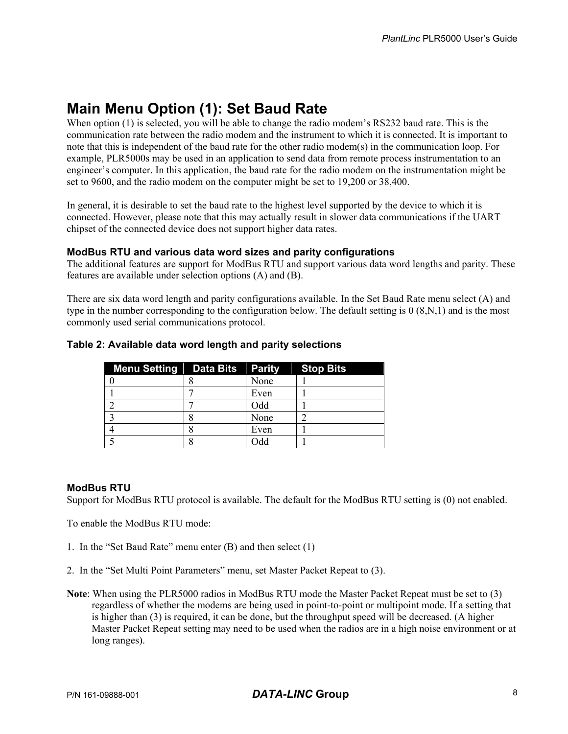### **Main Menu Option (1): Set Baud Rate**

When option (1) is selected, you will be able to change the radio modem's RS232 baud rate. This is the communication rate between the radio modem and the instrument to which it is connected. It is important to note that this is independent of the baud rate for the other radio modem(s) in the communication loop. For example, PLR5000s may be used in an application to send data from remote process instrumentation to an engineer's computer. In this application, the baud rate for the radio modem on the instrumentation might be set to 9600, and the radio modem on the computer might be set to 19,200 or 38,400.

In general, it is desirable to set the baud rate to the highest level supported by the device to which it is connected. However, please note that this may actually result in slower data communications if the UART chipset of the connected device does not support higher data rates.

#### **ModBus RTU and various data word sizes and parity configurations**

The additional features are support for ModBus RTU and support various data word lengths and parity. These features are available under selection options (A) and (B).

There are six data word length and parity configurations available. In the Set Baud Rate menu select (A) and type in the number corresponding to the configuration below. The default setting is 0 (8,N,1) and is the most commonly used serial communications protocol.

| <b>Menu Setting Data Bits Parity</b> |      | <b>Stop Bits</b> |
|--------------------------------------|------|------------------|
|                                      | None |                  |
|                                      | Even |                  |
|                                      | Odd  |                  |
|                                      | None |                  |
|                                      | Even |                  |
|                                      | Ddd  |                  |

#### **Table 2: Available data word length and parity selections**

#### **ModBus RTU**

Support for ModBus RTU protocol is available. The default for the ModBus RTU setting is (0) not enabled.

To enable the ModBus RTU mode:

- 1. In the "Set Baud Rate" menu enter (B) and then select (1)
- 2. In the "Set Multi Point Parameters" menu, set Master Packet Repeat to (3).
- **Note**: When using the PLR5000 radios in ModBus RTU mode the Master Packet Repeat must be set to (3) regardless of whether the modems are being used in point-to-point or multipoint mode. If a setting that is higher than (3) is required, it can be done, but the throughput speed will be decreased. (A higher Master Packet Repeat setting may need to be used when the radios are in a high noise environment or at long ranges).

#### P/N 161-09888-001 *DATA-LINC* **Group** 8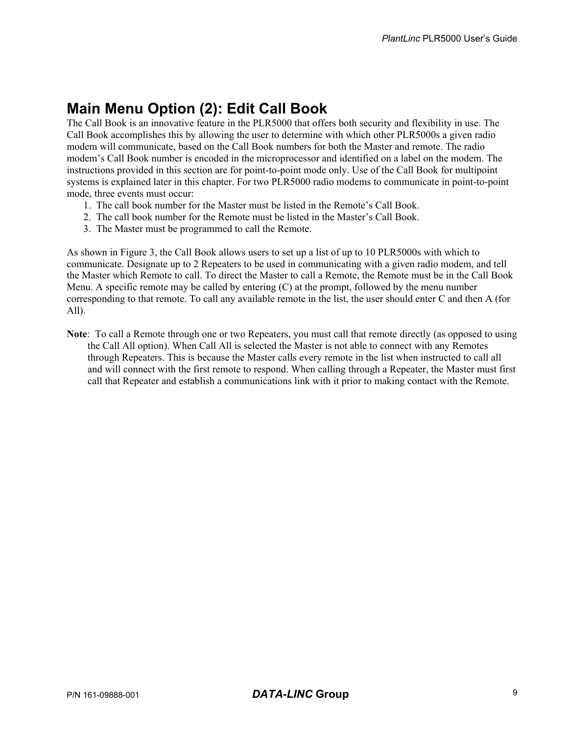### **Main Menu Option (2): Edit Call Book**

The Call Book is an innovative feature in the PLR5000 that offers both security and flexibility in use. The Call Book accomplishes this by allowing the user to determine with which other PLR5000s a given radio modem will communicate, based on the Call Book numbers for both the Master and remote. The radio modem's Call Book number is encoded in the microprocessor and identified on a label on the modem. The instructions provided in this section are for point-to-point mode only. Use of the Call Book for multipoint systems is explained later in this chapter. For two PLR5000 radio modems to communicate in point-to-point mode, three events must occur:

- 1. The call book number for the Master must be listed in the Remote's Call Book.
- 2. The call book number for the Remote must be listed in the Master's Call Book.
- 3. The Master must be programmed to call the Remote.

As shown in Figure 3, the Call Book allows users to set up a list of up to 10 PLR5000s with which to communicate. Designate up to 2 Repeaters to be used in communicating with a given radio modem, and tell the Master which Remote to call. To direct the Master to call a Remote, the Remote must be in the Call Book Menu. A specific remote may be called by entering (C) at the prompt, followed by the menu number corresponding to that remote. To call any available remote in the list, the user should enter C and then A (for All).

**Note**: To call a Remote through one or two Repeaters, you must call that remote directly (as opposed to using the Call All option). When Call All is selected the Master is not able to connect with any Remotes through Repeaters. This is because the Master calls every remote in the list when instructed to call all and will connect with the first remote to respond. When calling through a Repeater, the Master must first call that Repeater and establish a communications link with it prior to making contact with the Remote.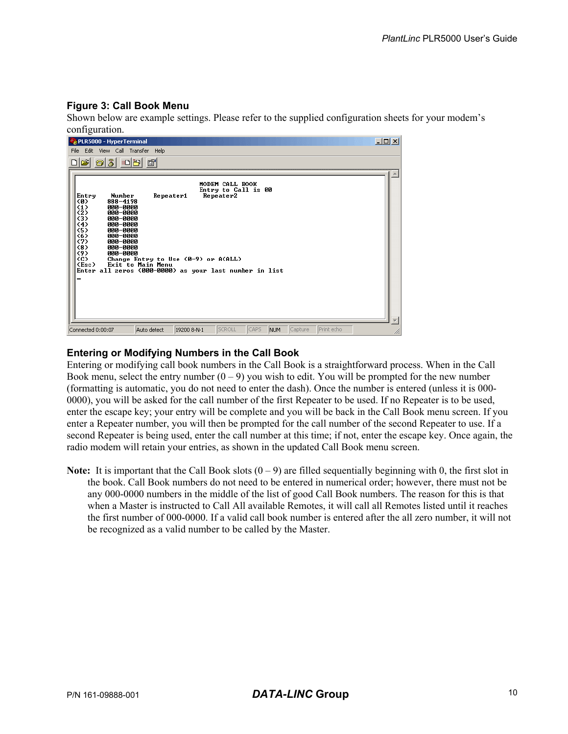#### **Figure 3: Call Book Menu**

Shown below are example settings. Please refer to the supplied configuration sheets for your modem's configuration.

| $\Box$<br>PLR5000 - HyperTerminal                                                                                                                                                                                                                                                                                                                                                                                                                       |
|---------------------------------------------------------------------------------------------------------------------------------------------------------------------------------------------------------------------------------------------------------------------------------------------------------------------------------------------------------------------------------------------------------------------------------------------------------|
| File Edit View Call Transfer Help                                                                                                                                                                                                                                                                                                                                                                                                                       |
| 2    2    3    2    2    2    2                                                                                                                                                                                                                                                                                                                                                                                                                         |
| MODEM CALL BOOK<br>Entry to Call is 00<br>Repeater1<br>Repeater2<br>Entry<br>Number<br>888-4198<br><0><br>$\langle 1 \rangle$<br>000-0000<br>(2)<br>000-0000<br>(3)<br>000-0000<br>$\langle 4 \rangle$<br>000-0000<br>(5)<br>000-0000<br>(6)<br>000-0000<br>(7)<br>000-0000<br>(8)<br>000-0000<br>〈9〉<br>000-0000<br>(C)<br>Change Entry to Use (0-9) or A(ALL)<br>(Esc)<br>Exit to Main Menu<br>Enter all zeros (000-0000) as your last number in list |
| CAPS<br>SCROLL<br><b>IPrint</b> echo<br>Capture<br><b>NUM</b><br>Auto detect<br>19200 8-N-1<br>Connected 0:00:07                                                                                                                                                                                                                                                                                                                                        |

#### **Entering or Modifying Numbers in the Call Book**

Entering or modifying call book numbers in the Call Book is a straightforward process. When in the Call Book menu, select the entry number  $(0 - 9)$  you wish to edit. You will be prompted for the new number (formatting is automatic, you do not need to enter the dash). Once the number is entered (unless it is 000- 0000), you will be asked for the call number of the first Repeater to be used. If no Repeater is to be used, enter the escape key; your entry will be complete and you will be back in the Call Book menu screen. If you enter a Repeater number, you will then be prompted for the call number of the second Repeater to use. If a second Repeater is being used, enter the call number at this time; if not, enter the escape key. Once again, the radio modem will retain your entries, as shown in the updated Call Book menu screen.

**Note:** It is important that the Call Book slots  $(0 - 9)$  are filled sequentially beginning with 0, the first slot in the book. Call Book numbers do not need to be entered in numerical order; however, there must not be any 000-0000 numbers in the middle of the list of good Call Book numbers. The reason for this is that when a Master is instructed to Call All available Remotes, it will call all Remotes listed until it reaches the first number of 000-0000. If a valid call book number is entered after the all zero number, it will not be recognized as a valid number to be called by the Master.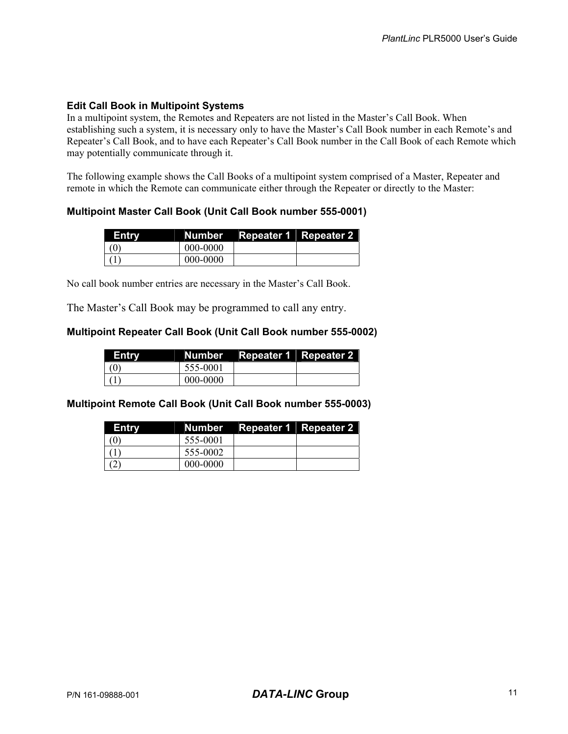#### **Edit Call Book in Multipoint Systems**

In a multipoint system, the Remotes and Repeaters are not listed in the Master's Call Book. When establishing such a system, it is necessary only to have the Master's Call Book number in each Remote's and Repeater's Call Book, and to have each Repeater's Call Book number in the Call Book of each Remote which may potentially communicate through it.

The following example shows the Call Books of a multipoint system comprised of a Master, Repeater and remote in which the Remote can communicate either through the Repeater or directly to the Master:

#### **Multipoint Master Call Book (Unit Call Book number 555-0001)**

| Entry |          | Number Repeater 1 Repeater 2 |  |
|-------|----------|------------------------------|--|
| (0)   | 000-0000 |                              |  |
|       | 000-0000 |                              |  |

No call book number entries are necessary in the Master's Call Book.

The Master's Call Book may be programmed to call any entry.

#### **Multipoint Repeater Call Book (Unit Call Book number 555-0002)**

| Entry |          | Number Repeater 1 Repeater 2 |  |
|-------|----------|------------------------------|--|
| (0)   | 555-0001 |                              |  |
|       | 000-0000 |                              |  |

**Multipoint Remote Call Book (Unit Call Book number 555-0003)** 

| Entry |          | Number Repeater 1 Repeater 2 |  |
|-------|----------|------------------------------|--|
| (0)   | 555-0001 |                              |  |
|       | 555-0002 |                              |  |
|       | 000-0000 |                              |  |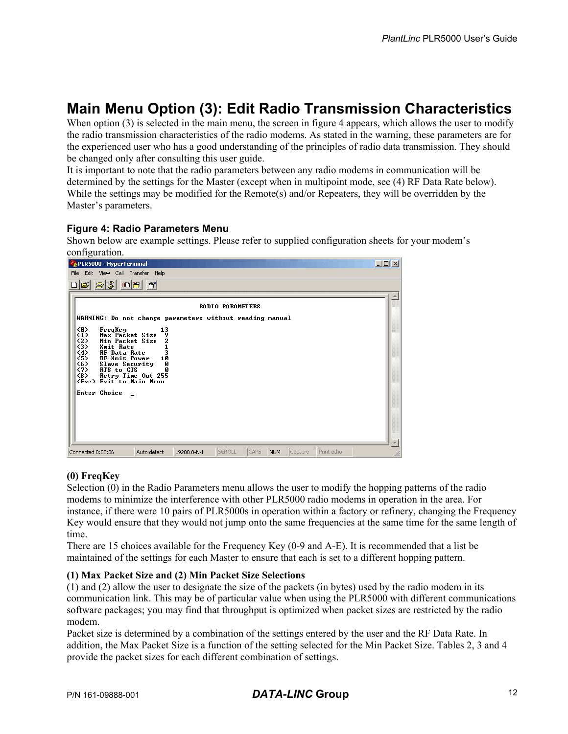### **Main Menu Option (3): Edit Radio Transmission Characteristics**

When option (3) is selected in the main menu, the screen in figure 4 appears, which allows the user to modify the radio transmission characteristics of the radio modems. As stated in the warning, these parameters are for the experienced user who has a good understanding of the principles of radio data transmission. They should be changed only after consulting this user guide.

It is important to note that the radio parameters between any radio modems in communication will be determined by the settings for the Master (except when in multipoint mode, see (4) RF Data Rate below). While the settings may be modified for the Remote(s) and/or Repeaters, they will be overridden by the Master's parameters.

#### **Figure 4: Radio Parameters Menu**

Shown below are example settings. Please refer to supplied configuration sheets for your modem's configuration.

| PLR5000 - HyperTerminal                                                                                                                                                                                                                                                                                                        |             |                         |             |         |            | $\Box$ o $\Box$ |
|--------------------------------------------------------------------------------------------------------------------------------------------------------------------------------------------------------------------------------------------------------------------------------------------------------------------------------|-------------|-------------------------|-------------|---------|------------|-----------------|
| File Edit View Call Transfer Help                                                                                                                                                                                                                                                                                              |             |                         |             |         |            |                 |
| <b>2030B</b> 1                                                                                                                                                                                                                                                                                                                 |             |                         |             |         |            |                 |
|                                                                                                                                                                                                                                                                                                                                |             |                         |             |         |            |                 |
|                                                                                                                                                                                                                                                                                                                                |             | <b>RADIO PARAMETERS</b> |             |         |            |                 |
| WARNING: Do not change parameters without reading manual                                                                                                                                                                                                                                                                       |             |                         |             |         |            |                 |
| <b>CO&gt;</b><br>FreqKey<br>13<br>Max Packet Size<br>$\langle 1 \rangle$<br>9<br>(2)<br>Min Packet Size<br>2<br>(3)<br><b>Xmit Rate</b><br>(4)<br><b>RF</b> Data Rate<br>(5)<br>10<br>RF Xmit Power<br>(6)<br>Slave Security<br>ø<br>(7)<br>RTS to CTS<br>Retry Time Out 255<br>(8)<br>(Esc) Exit to Main Menu<br>Enter Choice |             |                         |             |         |            |                 |
|                                                                                                                                                                                                                                                                                                                                |             |                         |             |         |            |                 |
| Auto detect<br>Connected 0:00:06                                                                                                                                                                                                                                                                                               | 19200 8-N-1 | SCROLL                  | CAPS<br>NUM | Capture | Print echo | M               |

#### **(0) FreqKey**

Selection (0) in the Radio Parameters menu allows the user to modify the hopping patterns of the radio modems to minimize the interference with other PLR5000 radio modems in operation in the area. For instance, if there were 10 pairs of PLR5000s in operation within a factory or refinery, changing the Frequency Key would ensure that they would not jump onto the same frequencies at the same time for the same length of time.

There are 15 choices available for the Frequency Key (0-9 and A-E). It is recommended that a list be maintained of the settings for each Master to ensure that each is set to a different hopping pattern.

#### **(1) Max Packet Size and (2) Min Packet Size Selections**

(1) and (2) allow the user to designate the size of the packets (in bytes) used by the radio modem in its communication link. This may be of particular value when using the PLR5000 with different communications software packages; you may find that throughput is optimized when packet sizes are restricted by the radio modem.

Packet size is determined by a combination of the settings entered by the user and the RF Data Rate. In addition, the Max Packet Size is a function of the setting selected for the Min Packet Size. Tables 2, 3 and 4 provide the packet sizes for each different combination of settings.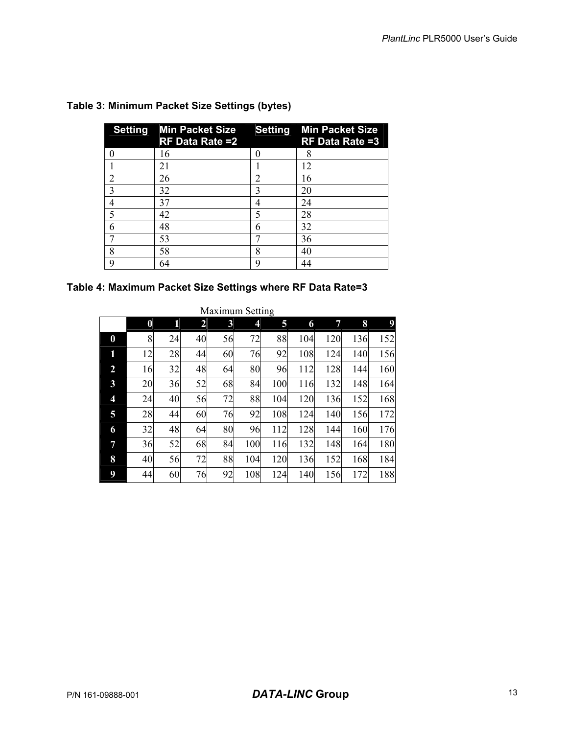|   | Setting Min Packet Size Setting Min Packet Size<br><b>RF Data Rate =2</b> |                | $RF$ Data Rate = 3 |
|---|---------------------------------------------------------------------------|----------------|--------------------|
|   | 16                                                                        |                | 8                  |
|   | 21                                                                        |                | 12                 |
| 2 | 26                                                                        | $\mathfrak{D}$ | 16                 |
|   | 32                                                                        |                | 20                 |
|   | 37                                                                        | 4              | 24                 |
|   | 42                                                                        | 5              | 28                 |
| 6 | 48                                                                        | 6              | 32                 |
|   | 53                                                                        |                | 36                 |
| 8 | 58                                                                        | 8              | 40                 |
| q | 64                                                                        | q              | 44                 |

#### **Table 3: Minimum Packet Size Settings (bytes)**

### **Table 4: Maximum Packet Size Settings where RF Data Rate=3**

| <b>Maximum Setting</b> |                  |    |                |    |     |     |     |     |     |     |
|------------------------|------------------|----|----------------|----|-----|-----|-----|-----|-----|-----|
|                        | $\boldsymbol{0}$ | 1  | $\overline{2}$ | 3  | 4   | 5   | 6   | 7   | 8   |     |
| $\boldsymbol{0}$       | 8                | 24 | 40             | 56 | 72  | 88  | 104 | 120 | 136 | 152 |
| 1                      | 12               | 28 | 44             | 60 | 76  | 92  | 108 | 124 | 140 | 156 |
| $\overline{2}$         | 16               | 32 | 48             | 64 | 80  | 96  | 112 | 128 | 144 | 160 |
| 3                      | 20               | 36 | 52             | 68 | 84  | 100 | 116 | 132 | 148 | 164 |
| 4                      | 24               | 40 | 56             | 72 | 88  | 104 | 120 | 136 | 152 | 168 |
| 5                      | 28               | 44 | 60             | 76 | 92  | 108 | 124 | 140 | 156 | 172 |
| 6                      | 32               | 48 | 64             | 80 | 96  | 112 | 128 | 144 | 160 | 176 |
| 7                      | 36               | 52 | 68             | 84 | 100 | 116 | 132 | 148 | 164 | 180 |
| 8                      | 40               | 56 | 72             | 88 | 104 | 120 | 136 | 152 | 168 | 184 |
| 9                      | 44               | 60 | 76             | 92 | 108 | 124 | 140 | 156 | 172 | 188 |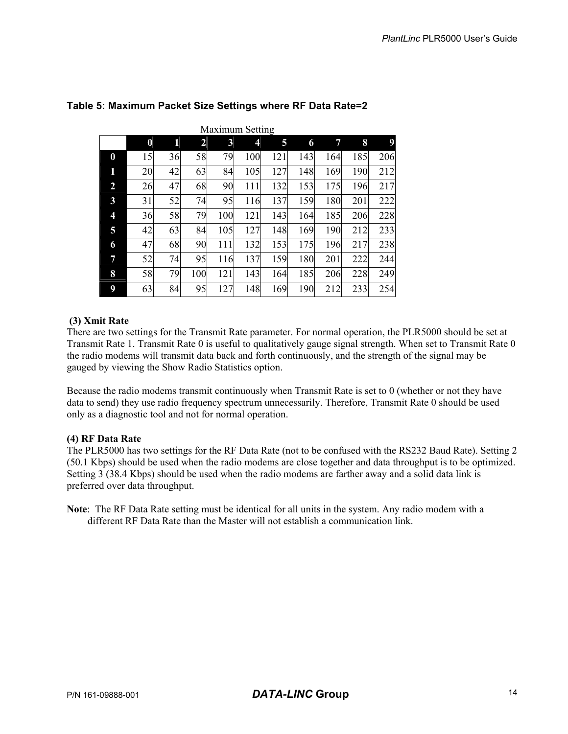|                         | <b>Maximum Setting</b> |    |     |     |     |     |     |     |     |     |
|-------------------------|------------------------|----|-----|-----|-----|-----|-----|-----|-----|-----|
|                         | $\pmb{0}$              | 1  | 2   | 3   | 4   | 5   | 6   | 7   | 8   | 9   |
| $\boldsymbol{0}$        | 15                     | 36 | 58  | 79  | 100 | 121 | 143 | 164 | 185 | 206 |
| 1                       | 20                     | 42 | 63  | 84  | 105 | 127 | 148 | 169 | 190 | 212 |
| $\overline{2}$          | 26                     | 47 | 68  | 90  | 111 | 132 | 153 | 175 | 196 | 217 |
| $\mathbf{3}$            | 31                     | 52 | 74  | 95  | 116 | 137 | 159 | 180 | 201 | 222 |
| $\overline{\mathbf{4}}$ | 36                     | 58 | 79  | 100 | 121 | 143 | 164 | 185 | 206 | 228 |
| 5                       | 42                     | 63 | 84  | 105 | 127 | 148 | 169 | 190 | 212 | 233 |
| 6                       | 47                     | 68 | 90  | 111 | 132 | 153 | 175 | 196 | 217 | 238 |
| 7                       | 52                     | 74 | 95  | 116 | 137 | 159 | 180 | 201 | 222 | 244 |
| 8                       | 58                     | 79 | 100 | 121 | 143 | 164 | 185 | 206 | 228 | 249 |
| 9                       | 63                     | 84 | 95  | 127 | 148 | 169 | 190 | 212 | 233 | 254 |

#### **Table 5: Maximum Packet Size Settings where RF Data Rate=2**

#### **(3) Xmit Rate**

There are two settings for the Transmit Rate parameter. For normal operation, the PLR5000 should be set at Transmit Rate 1. Transmit Rate 0 is useful to qualitatively gauge signal strength. When set to Transmit Rate 0 the radio modems will transmit data back and forth continuously, and the strength of the signal may be gauged by viewing the Show Radio Statistics option.

Because the radio modems transmit continuously when Transmit Rate is set to 0 (whether or not they have data to send) they use radio frequency spectrum unnecessarily. Therefore, Transmit Rate 0 should be used only as a diagnostic tool and not for normal operation.

#### **(4) RF Data Rate**

The PLR5000 has two settings for the RF Data Rate (not to be confused with the RS232 Baud Rate). Setting 2 (50.1 Kbps) should be used when the radio modems are close together and data throughput is to be optimized. Setting 3 (38.4 Kbps) should be used when the radio modems are farther away and a solid data link is preferred over data throughput.

**Note**: The RF Data Rate setting must be identical for all units in the system. Any radio modem with a different RF Data Rate than the Master will not establish a communication link.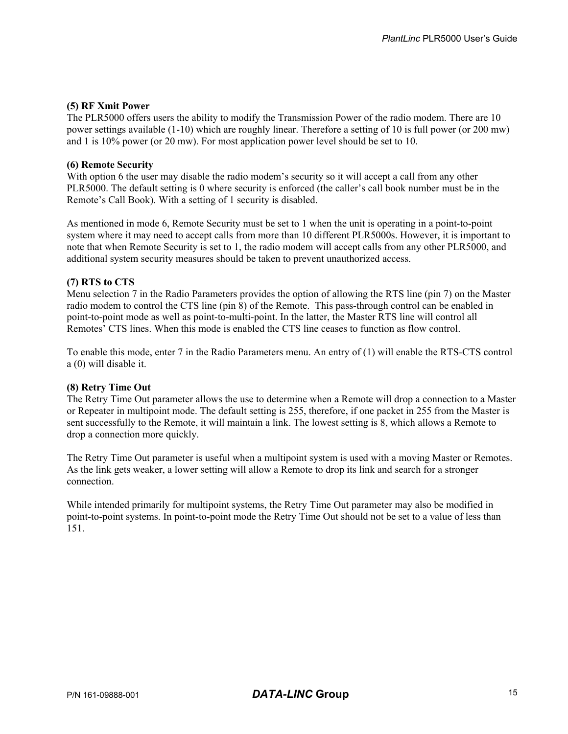#### **(5) RF Xmit Power**

The PLR5000 offers users the ability to modify the Transmission Power of the radio modem. There are 10 power settings available (1-10) which are roughly linear. Therefore a setting of 10 is full power (or 200 mw) and 1 is 10% power (or 20 mw). For most application power level should be set to 10.

#### **(6) Remote Security**

With option 6 the user may disable the radio modem's security so it will accept a call from any other PLR5000. The default setting is 0 where security is enforced (the caller's call book number must be in the Remote's Call Book). With a setting of 1 security is disabled.

As mentioned in mode 6, Remote Security must be set to 1 when the unit is operating in a point-to-point system where it may need to accept calls from more than 10 different PLR5000s. However, it is important to note that when Remote Security is set to 1, the radio modem will accept calls from any other PLR5000, and additional system security measures should be taken to prevent unauthorized access.

#### **(7) RTS to CTS**

Menu selection 7 in the Radio Parameters provides the option of allowing the RTS line (pin 7) on the Master radio modem to control the CTS line (pin 8) of the Remote. This pass-through control can be enabled in point-to-point mode as well as point-to-multi-point. In the latter, the Master RTS line will control all Remotes' CTS lines. When this mode is enabled the CTS line ceases to function as flow control.

To enable this mode, enter 7 in the Radio Parameters menu. An entry of (1) will enable the RTS-CTS control a (0) will disable it.

#### **(8) Retry Time Out**

The Retry Time Out parameter allows the use to determine when a Remote will drop a connection to a Master or Repeater in multipoint mode. The default setting is 255, therefore, if one packet in 255 from the Master is sent successfully to the Remote, it will maintain a link. The lowest setting is 8, which allows a Remote to drop a connection more quickly.

The Retry Time Out parameter is useful when a multipoint system is used with a moving Master or Remotes. As the link gets weaker, a lower setting will allow a Remote to drop its link and search for a stronger connection.

While intended primarily for multipoint systems, the Retry Time Out parameter may also be modified in point-to-point systems. In point-to-point mode the Retry Time Out should not be set to a value of less than 151.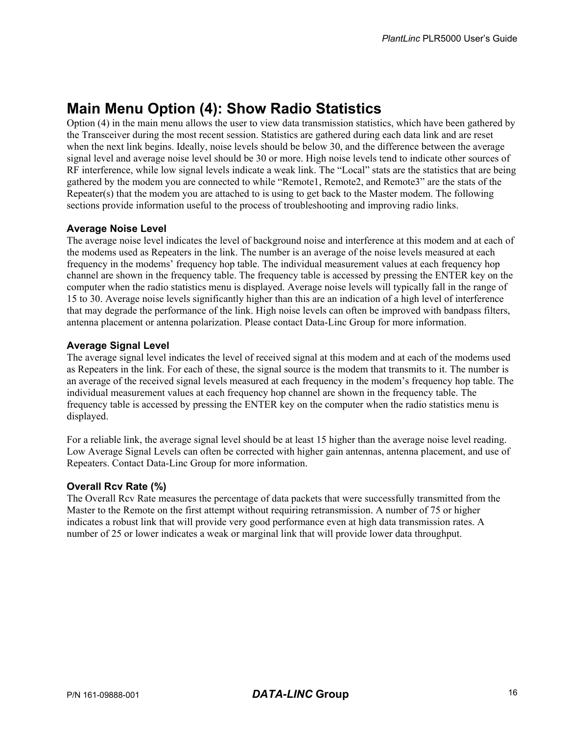### **Main Menu Option (4): Show Radio Statistics**

Option (4) in the main menu allows the user to view data transmission statistics, which have been gathered by the Transceiver during the most recent session. Statistics are gathered during each data link and are reset when the next link begins. Ideally, noise levels should be below 30, and the difference between the average signal level and average noise level should be 30 or more. High noise levels tend to indicate other sources of RF interference, while low signal levels indicate a weak link. The "Local" stats are the statistics that are being gathered by the modem you are connected to while "Remote1, Remote2, and Remote3" are the stats of the Repeater(s) that the modem you are attached to is using to get back to the Master modem. The following sections provide information useful to the process of troubleshooting and improving radio links.

#### **Average Noise Level**

The average noise level indicates the level of background noise and interference at this modem and at each of the modems used as Repeaters in the link. The number is an average of the noise levels measured at each frequency in the modems' frequency hop table. The individual measurement values at each frequency hop channel are shown in the frequency table. The frequency table is accessed by pressing the ENTER key on the computer when the radio statistics menu is displayed. Average noise levels will typically fall in the range of 15 to 30. Average noise levels significantly higher than this are an indication of a high level of interference that may degrade the performance of the link. High noise levels can often be improved with bandpass filters, antenna placement or antenna polarization. Please contact Data-Linc Group for more information.

#### **Average Signal Level**

The average signal level indicates the level of received signal at this modem and at each of the modems used as Repeaters in the link. For each of these, the signal source is the modem that transmits to it. The number is an average of the received signal levels measured at each frequency in the modem's frequency hop table. The individual measurement values at each frequency hop channel are shown in the frequency table. The frequency table is accessed by pressing the ENTER key on the computer when the radio statistics menu is displayed.

For a reliable link, the average signal level should be at least 15 higher than the average noise level reading. Low Average Signal Levels can often be corrected with higher gain antennas, antenna placement, and use of Repeaters. Contact Data-Linc Group for more information.

#### **Overall Rcv Rate (%)**

The Overall Rcv Rate measures the percentage of data packets that were successfully transmitted from the Master to the Remote on the first attempt without requiring retransmission. A number of 75 or higher indicates a robust link that will provide very good performance even at high data transmission rates. A number of 25 or lower indicates a weak or marginal link that will provide lower data throughput.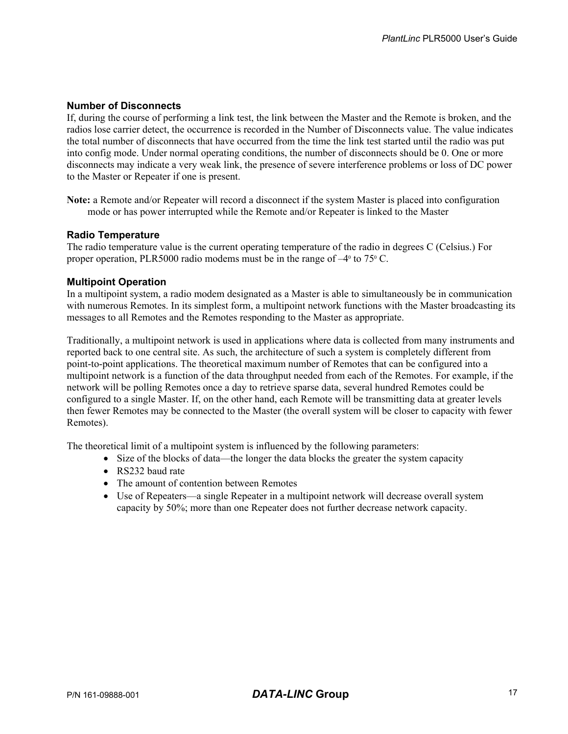#### **Number of Disconnects**

If, during the course of performing a link test, the link between the Master and the Remote is broken, and the radios lose carrier detect, the occurrence is recorded in the Number of Disconnects value. The value indicates the total number of disconnects that have occurred from the time the link test started until the radio was put into config mode. Under normal operating conditions, the number of disconnects should be 0. One or more disconnects may indicate a very weak link, the presence of severe interference problems or loss of DC power to the Master or Repeater if one is present.

**Note:** a Remote and/or Repeater will record a disconnect if the system Master is placed into configuration mode or has power interrupted while the Remote and/or Repeater is linked to the Master

#### **Radio Temperature**

The radio temperature value is the current operating temperature of the radio in degrees C (Celsius.) For proper operation, PLR5000 radio modems must be in the range of  $-4^{\circ}$  to 75 $^{\circ}$  C.

#### **Multipoint Operation**

In a multipoint system, a radio modem designated as a Master is able to simultaneously be in communication with numerous Remotes. In its simplest form, a multipoint network functions with the Master broadcasting its messages to all Remotes and the Remotes responding to the Master as appropriate.

Traditionally, a multipoint network is used in applications where data is collected from many instruments and reported back to one central site. As such, the architecture of such a system is completely different from point-to-point applications. The theoretical maximum number of Remotes that can be configured into a multipoint network is a function of the data throughput needed from each of the Remotes. For example, if the network will be polling Remotes once a day to retrieve sparse data, several hundred Remotes could be configured to a single Master. If, on the other hand, each Remote will be transmitting data at greater levels then fewer Remotes may be connected to the Master (the overall system will be closer to capacity with fewer Remotes).

The theoretical limit of a multipoint system is influenced by the following parameters:

- Size of the blocks of data—the longer the data blocks the greater the system capacity
- RS232 baud rate
- The amount of contention between Remotes
- Use of Repeaters—a single Repeater in a multipoint network will decrease overall system capacity by 50%; more than one Repeater does not further decrease network capacity.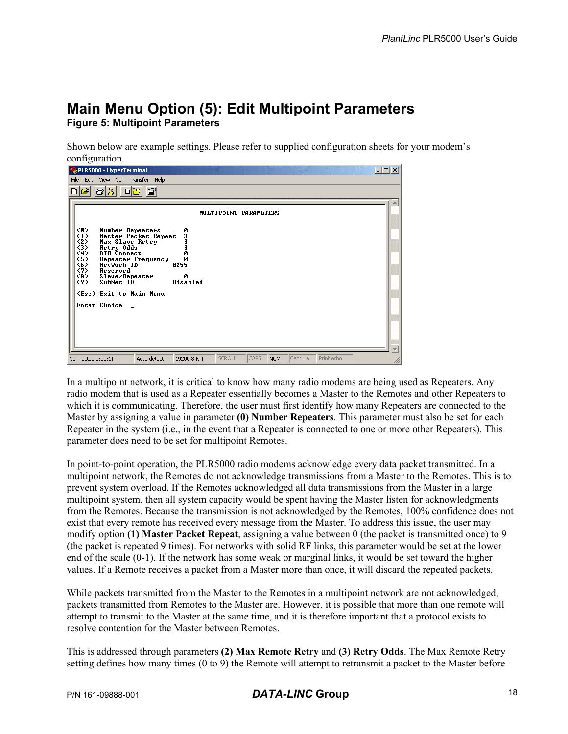### **Main Menu Option (5): Edit Multipoint Parameters Figure 5: Multipoint Parameters**

Shown below are example settings. Please refer to supplied configuration sheets for your modem's configuration.

| PLR5000 - HyperTerminal                                                                                                                                                                                                                                                                                         |                                     |                       |                       | 그미지 |
|-----------------------------------------------------------------------------------------------------------------------------------------------------------------------------------------------------------------------------------------------------------------------------------------------------------------|-------------------------------------|-----------------------|-----------------------|-----|
| File Edit View Call Transfer Help                                                                                                                                                                                                                                                                               |                                     |                       |                       |     |
| <u>e 53 00 6</u>                                                                                                                                                                                                                                                                                                |                                     |                       |                       |     |
|                                                                                                                                                                                                                                                                                                                 |                                     | MULTIPOINT PARAMETERS |                       |     |
| <b>CØ)</b><br>Number Repeaters<br>$\langle 1 \rangle$<br>Master Packet Repeat<br>(2)<br>Max Slave Retry<br>(3)<br>Retry Odds<br>(4)<br>DTR Connect<br>(5)<br>Repeater Frequency<br>(6)<br>NetWork ID<br>(7)<br>Reserved<br>(8)<br>Slave/Repeater<br>(9)<br>SubNet ID<br>(Esc) Exit to Main Menu<br>Enter Choice | 03330<br>ø<br>0255<br>ø<br>Disabled |                       |                       |     |
| Connected 0:00:11<br>Auto detect                                                                                                                                                                                                                                                                                | SCROLL<br>19200 8-N-1               | CAPS<br>NUM           | Print echo<br>Capture |     |

In a multipoint network, it is critical to know how many radio modems are being used as Repeaters. Any radio modem that is used as a Repeater essentially becomes a Master to the Remotes and other Repeaters to which it is communicating. Therefore, the user must first identify how many Repeaters are connected to the Master by assigning a value in parameter **(0) Number Repeaters**. This parameter must also be set for each Repeater in the system (i.e., in the event that a Repeater is connected to one or more other Repeaters). This parameter does need to be set for multipoint Remotes.

In point-to-point operation, the PLR5000 radio modems acknowledge every data packet transmitted. In a multipoint network, the Remotes do not acknowledge transmissions from a Master to the Remotes. This is to prevent system overload. If the Remotes acknowledged all data transmissions from the Master in a large multipoint system, then all system capacity would be spent having the Master listen for acknowledgments from the Remotes. Because the transmission is not acknowledged by the Remotes, 100% confidence does not exist that every remote has received every message from the Master. To address this issue, the user may modify option **(1) Master Packet Repeat**, assigning a value between 0 (the packet is transmitted once) to 9 (the packet is repeated 9 times). For networks with solid RF links, this parameter would be set at the lower end of the scale (0-1). If the network has some weak or marginal links, it would be set toward the higher values. If a Remote receives a packet from a Master more than once, it will discard the repeated packets.

While packets transmitted from the Master to the Remotes in a multipoint network are not acknowledged, packets transmitted from Remotes to the Master are. However, it is possible that more than one remote will attempt to transmit to the Master at the same time, and it is therefore important that a protocol exists to resolve contention for the Master between Remotes.

This is addressed through parameters **(2) Max Remote Retry** and **(3) Retry Odds**. The Max Remote Retry setting defines how many times (0 to 9) the Remote will attempt to retransmit a packet to the Master before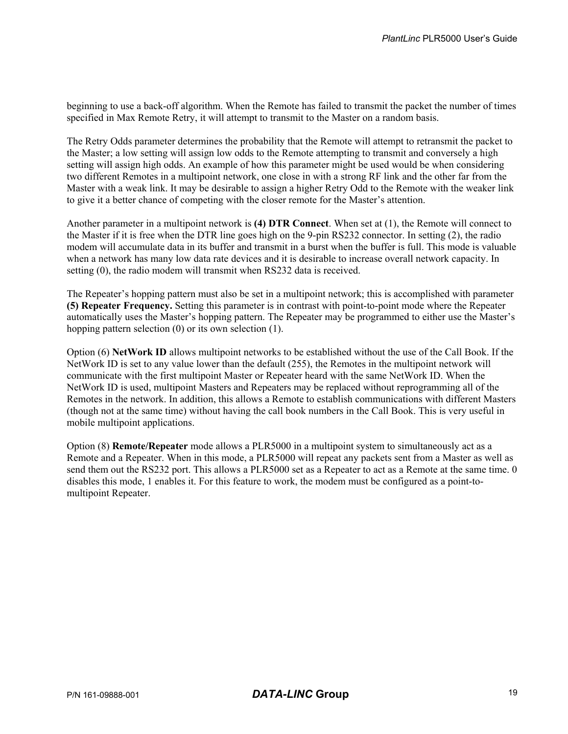beginning to use a back-off algorithm. When the Remote has failed to transmit the packet the number of times specified in Max Remote Retry, it will attempt to transmit to the Master on a random basis.

The Retry Odds parameter determines the probability that the Remote will attempt to retransmit the packet to the Master; a low setting will assign low odds to the Remote attempting to transmit and conversely a high setting will assign high odds. An example of how this parameter might be used would be when considering two different Remotes in a multipoint network, one close in with a strong RF link and the other far from the Master with a weak link. It may be desirable to assign a higher Retry Odd to the Remote with the weaker link to give it a better chance of competing with the closer remote for the Master's attention.

Another parameter in a multipoint network is **(4) DTR Connect**. When set at (1), the Remote will connect to the Master if it is free when the DTR line goes high on the 9-pin RS232 connector. In setting (2), the radio modem will accumulate data in its buffer and transmit in a burst when the buffer is full. This mode is valuable when a network has many low data rate devices and it is desirable to increase overall network capacity. In setting (0), the radio modem will transmit when RS232 data is received.

The Repeater's hopping pattern must also be set in a multipoint network; this is accomplished with parameter **(5) Repeater Frequency.** Setting this parameter is in contrast with point-to-point mode where the Repeater automatically uses the Master's hopping pattern. The Repeater may be programmed to either use the Master's hopping pattern selection (0) or its own selection (1).

Option (6) **NetWork ID** allows multipoint networks to be established without the use of the Call Book. If the NetWork ID is set to any value lower than the default (255), the Remotes in the multipoint network will communicate with the first multipoint Master or Repeater heard with the same NetWork ID. When the NetWork ID is used, multipoint Masters and Repeaters may be replaced without reprogramming all of the Remotes in the network. In addition, this allows a Remote to establish communications with different Masters (though not at the same time) without having the call book numbers in the Call Book. This is very useful in mobile multipoint applications.

Option (8) **Remote/Repeater** mode allows a PLR5000 in a multipoint system to simultaneously act as a Remote and a Repeater. When in this mode, a PLR5000 will repeat any packets sent from a Master as well as send them out the RS232 port. This allows a PLR5000 set as a Repeater to act as a Remote at the same time. 0 disables this mode, 1 enables it. For this feature to work, the modem must be configured as a point-tomultipoint Repeater.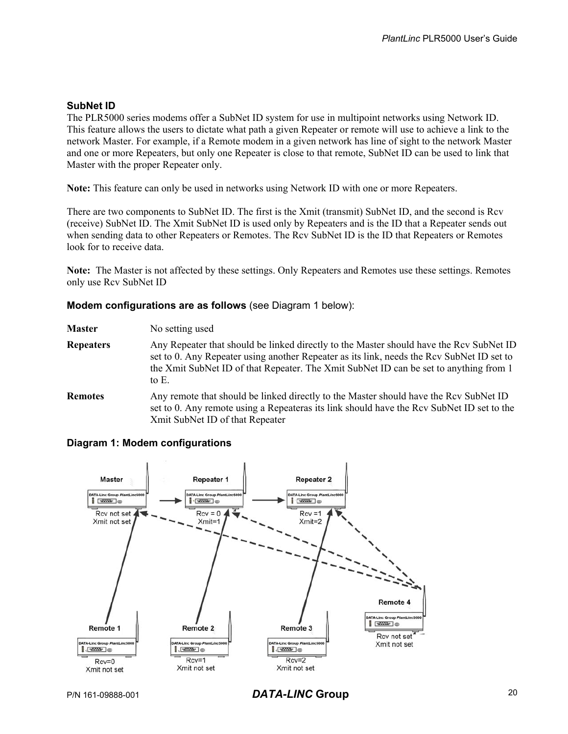#### **SubNet ID**

The PLR5000 series modems offer a SubNet ID system for use in multipoint networks using Network ID. This feature allows the users to dictate what path a given Repeater or remote will use to achieve a link to the network Master. For example, if a Remote modem in a given network has line of sight to the network Master and one or more Repeaters, but only one Repeater is close to that remote, SubNet ID can be used to link that Master with the proper Repeater only.

**Note:** This feature can only be used in networks using Network ID with one or more Repeaters.

There are two components to SubNet ID. The first is the Xmit (transmit) SubNet ID, and the second is Rcv (receive) SubNet ID. The Xmit SubNet ID is used only by Repeaters and is the ID that a Repeater sends out when sending data to other Repeaters or Remotes. The Rcv SubNet ID is the ID that Repeaters or Remotes look for to receive data.

**Note:** The Master is not affected by these settings. Only Repeaters and Remotes use these settings. Remotes only use Rcv SubNet ID

#### **Modem configurations are as follows** (see Diagram 1 below):

| <b>Master</b> | No setting used |
|---------------|-----------------|
|---------------|-----------------|

- **Repeaters** Any Repeater that should be linked directly to the Master should have the Rcv SubNet ID set to 0. Any Repeater using another Repeater as its link, needs the Rcv SubNet ID set to the Xmit SubNet ID of that Repeater. The Xmit SubNet ID can be set to anything from 1 to E.
- **Remotes** Any remote that should be linked directly to the Master should have the Rcv SubNet ID set to 0. Any remote using a Repeateras its link should have the Rcv SubNet ID set to the Xmit SubNet ID of that Repeater

#### **Diagram 1: Modem configurations**



P/N 161-09888-001 *DATA-LINC* **Group** 20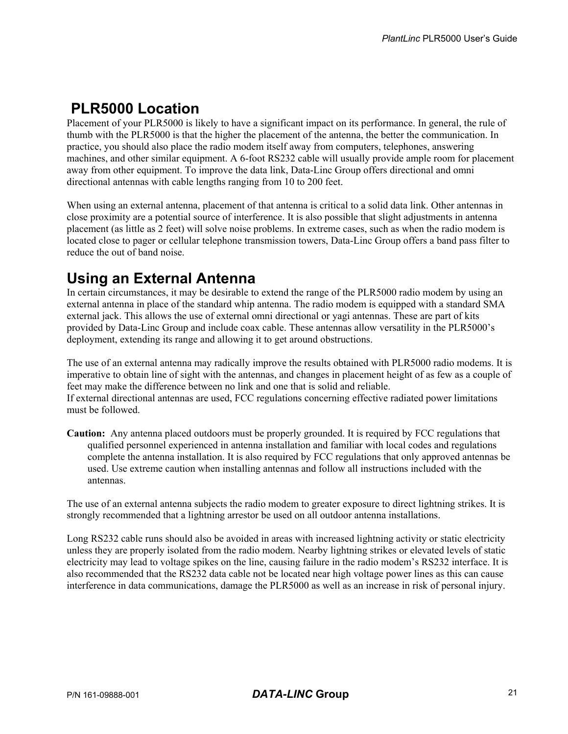### **PLR5000 Location**

Placement of your PLR5000 is likely to have a significant impact on its performance. In general, the rule of thumb with the PLR5000 is that the higher the placement of the antenna, the better the communication. In practice, you should also place the radio modem itself away from computers, telephones, answering machines, and other similar equipment. A 6-foot RS232 cable will usually provide ample room for placement away from other equipment. To improve the data link, Data-Linc Group offers directional and omni directional antennas with cable lengths ranging from 10 to 200 feet.

When using an external antenna, placement of that antenna is critical to a solid data link. Other antennas in close proximity are a potential source of interference. It is also possible that slight adjustments in antenna placement (as little as 2 feet) will solve noise problems. In extreme cases, such as when the radio modem is located close to pager or cellular telephone transmission towers, Data-Linc Group offers a band pass filter to reduce the out of band noise.

### **Using an External Antenna**

In certain circumstances, it may be desirable to extend the range of the PLR5000 radio modem by using an external antenna in place of the standard whip antenna. The radio modem is equipped with a standard SMA external jack. This allows the use of external omni directional or yagi antennas. These are part of kits provided by Data-Linc Group and include coax cable. These antennas allow versatility in the PLR5000's deployment, extending its range and allowing it to get around obstructions.

The use of an external antenna may radically improve the results obtained with PLR5000 radio modems. It is imperative to obtain line of sight with the antennas, and changes in placement height of as few as a couple of feet may make the difference between no link and one that is solid and reliable. If external directional antennas are used, FCC regulations concerning effective radiated power limitations must be followed.

**Caution:** Any antenna placed outdoors must be properly grounded. It is required by FCC regulations that qualified personnel experienced in antenna installation and familiar with local codes and regulations complete the antenna installation. It is also required by FCC regulations that only approved antennas be used. Use extreme caution when installing antennas and follow all instructions included with the antennas.

The use of an external antenna subjects the radio modem to greater exposure to direct lightning strikes. It is strongly recommended that a lightning arrestor be used on all outdoor antenna installations.

Long RS232 cable runs should also be avoided in areas with increased lightning activity or static electricity unless they are properly isolated from the radio modem. Nearby lightning strikes or elevated levels of static electricity may lead to voltage spikes on the line, causing failure in the radio modem's RS232 interface. It is also recommended that the RS232 data cable not be located near high voltage power lines as this can cause interference in data communications, damage the PLR5000 as well as an increase in risk of personal injury.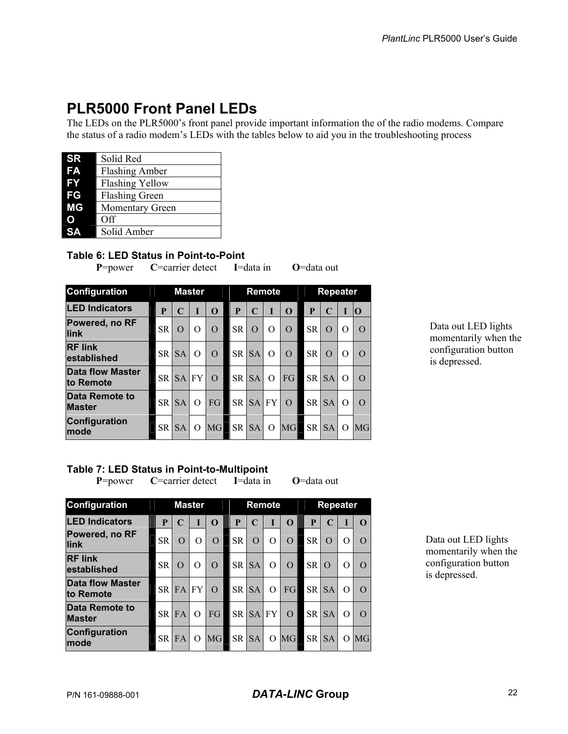### **PLR5000 Front Panel LEDs**

The LEDs on the PLR5000's front panel provide important information the of the radio modems. Compare the status of a radio modem's LEDs with the tables below to aid you in the troubleshooting process

| <b>SR</b> | Solid Red              |
|-----------|------------------------|
| FA        | <b>Flashing Amber</b>  |
| FY        | <b>Flashing Yellow</b> |
| FG        | <b>Flashing Green</b>  |
| ΜG        | <b>Momentary Green</b> |
| O         | <b>Off</b>             |
|           | Solid Amber            |

#### **Table 6: LED Status in Point-to-Point**

**P**=power **C**=carrier detect **I**=data in **O**=data out

| <b>Configuration</b>            | <b>Master</b> |           |          |           | Remote    |           |           |           | <b>Repeater</b> |           |          |          |
|---------------------------------|---------------|-----------|----------|-----------|-----------|-----------|-----------|-----------|-----------------|-----------|----------|----------|
| <b>LED Indicators</b>           | P             | C         | T        | $\Omega$  | P         | C         |           | $\Omega$  | P               | C         | I        | lО       |
| Powered, no RF<br>link          | <b>SR</b>     | $\Omega$  | O        | $\Omega$  | <b>SR</b> | $\Omega$  | O         | $\Omega$  | <b>SR</b>       | $\Omega$  | O        | $\Omega$ |
| <b>RF link</b><br>established   | <b>SR</b>     | <b>SA</b> | $\Omega$ | $\Omega$  | <b>SR</b> | <b>SA</b> | O         | $\Omega$  | <b>SR</b>       | O         | O        | $\Omega$ |
| Data flow Master<br>to Remote   | <b>SR</b>     | <b>SA</b> | FY       | $\Omega$  | <b>SR</b> | <b>SA</b> | $\Omega$  | FG        | <b>SR</b>       | <b>SA</b> | $\Omega$ | $\Omega$ |
| Data Remote to<br><b>Master</b> | <b>SR</b>     | <b>SA</b> | $\Omega$ | FG        | <b>SR</b> | <b>SA</b> | <b>FY</b> | $\Omega$  | <b>SR</b>       | <b>SA</b> | O        | $\Omega$ |
| Configuration<br><b>mode</b>    | <b>SR</b>     | <b>SA</b> | O        | <b>MG</b> | <b>SR</b> | <b>SA</b> | O         | <b>MG</b> | <b>SR</b>       | <b>SA</b> | $\Omega$ | MG       |

Data out LED lights momentarily when the configuration button is depressed.

#### **Table 7: LED Status in Point-to-Multipoint**

**P**=power **C**=carrier detect **I**=data in **O**=data out

| Configuration                        |           | <b>Master</b> |           |          |           | Remote    |          |          |           | <b>Repeater</b> |                  |                  |  |
|--------------------------------------|-----------|---------------|-----------|----------|-----------|-----------|----------|----------|-----------|-----------------|------------------|------------------|--|
| <b>LED Indicators</b>                | P         | C             | ı         | O        | P         | C         |          | $\Omega$ | P         |                 |                  |                  |  |
| Powered, no RF<br>link               | <b>SR</b> | $\Omega$      | O         | $\Omega$ | <b>SR</b> | $\Omega$  | O        | $\Omega$ | <b>SR</b> | O               | $\left( \right)$ | $\Omega$         |  |
| <b>IRF link</b><br>established       | <b>SR</b> | O             | $\Omega$  | $\Omega$ | <b>SR</b> | <b>SA</b> | $\Omega$ | $\Omega$ | <b>SR</b> | $\Omega$        | $\left( \right)$ | $\left( \right)$ |  |
| <b>Data flow Master</b><br>to Remote | <b>SR</b> | <b>FA</b>     | <b>FY</b> | $\Omega$ | <b>SR</b> | <b>SA</b> | $\Omega$ | FGI      | <b>SR</b> | <b>SA</b>       | $\Omega$         | $\left( \right)$ |  |
| Data Remote to<br><b>Master</b>      | <b>SR</b> | FA            | O         | FG       | <b>SR</b> | <b>SA</b> | FY       | $\Omega$ | <b>SR</b> | <b>SA</b>       | $\Omega$         | $\Omega$         |  |
| Configuration<br>mode                | <b>SR</b> | <b>FA</b>     | O         | MG       | <b>SR</b> | <b>SA</b> | O        | MG       | <b>SR</b> | <b>SA</b>       | $\left( \right)$ | MG               |  |

Data out LED lights momentarily when the configuration button is depressed.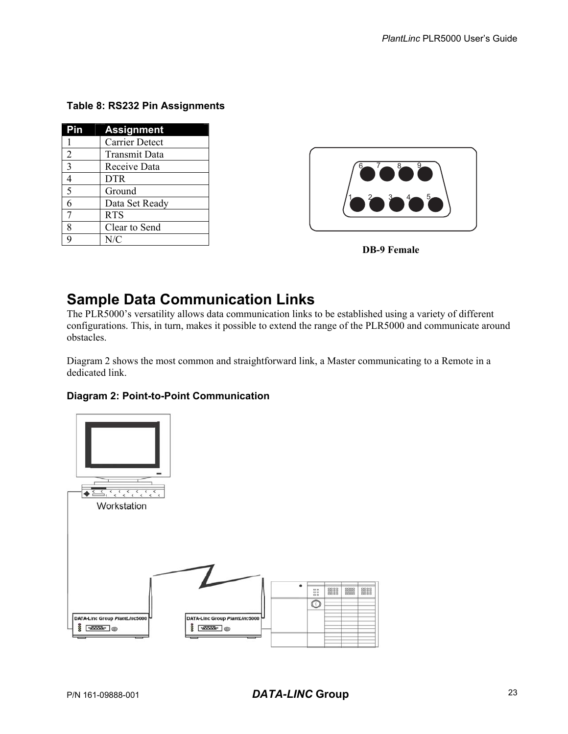#### **Table 8: RS232 Pin Assignments**

| Pin            | <b>Assignment</b> |
|----------------|-------------------|
|                | Carrier Detect    |
| $\overline{2}$ | Transmit Data     |
| 3              | Receive Data      |
| 4              | <b>DTR</b>        |
| 5              | Ground            |
| 6              | Data Set Ready    |
| 7              | <b>RTS</b>        |
| 8              | Clear to Send     |
| q              | N/C               |





## **Sample Data Communication Links**

The PLR5000's versatility allows data communication links to be established using a variety of different configurations. This, in turn, makes it possible to extend the range of the PLR5000 and communicate around obstacles.

Diagram 2 shows the most common and straightforward link, a Master communicating to a Remote in a dedicated link.

#### **Diagram 2: Point-to-Point Communication**

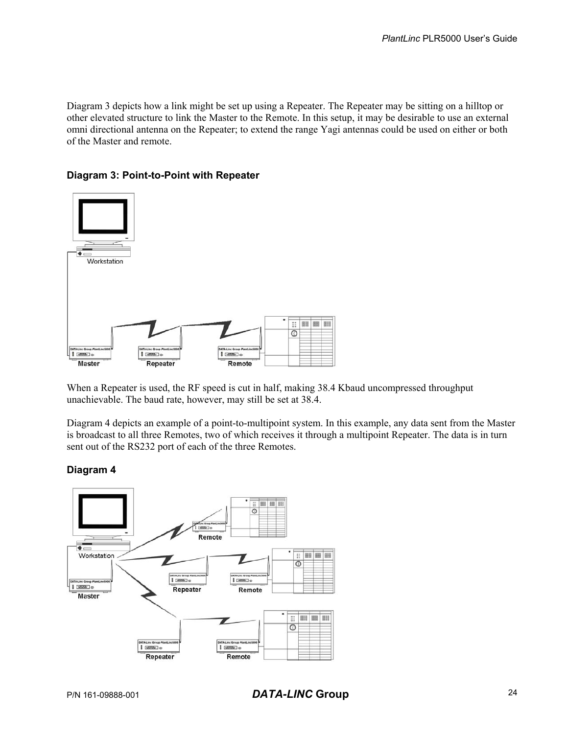Diagram 3 depicts how a link might be set up using a Repeater. The Repeater may be sitting on a hilltop or other elevated structure to link the Master to the Remote. In this setup, it may be desirable to use an external omni directional antenna on the Repeater; to extend the range Yagi antennas could be used on either or both of the Master and remote.

#### **Diagram 3: Point-to-Point with Repeater**



When a Repeater is used, the RF speed is cut in half, making 38.4 Kbaud uncompressed throughput unachievable. The baud rate, however, may still be set at 38.4.

Diagram 4 depicts an example of a point-to-multipoint system. In this example, any data sent from the Master is broadcast to all three Remotes, two of which receives it through a multipoint Repeater. The data is in turn sent out of the RS232 port of each of the three Remotes.

#### **Diagram 4**



P/N 161-09888-001 *DATA-LINC* **Group** 24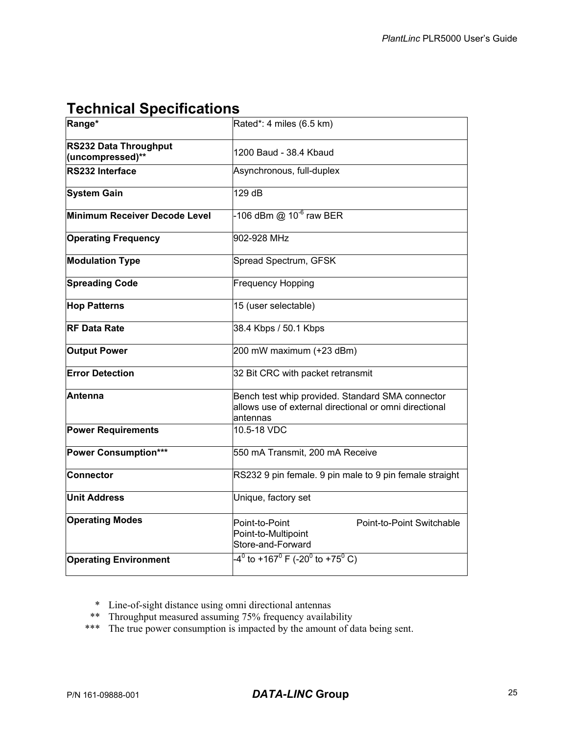## **Technical Specifications**

| Range*                                    | Rated*: 4 miles (6.5 km)                                                                                               |  |  |  |  |  |  |  |
|-------------------------------------------|------------------------------------------------------------------------------------------------------------------------|--|--|--|--|--|--|--|
| RS232 Data Throughput<br>(uncompressed)** | 1200 Baud - 38.4 Kbaud                                                                                                 |  |  |  |  |  |  |  |
| RS232 Interface                           | Asynchronous, full-duplex                                                                                              |  |  |  |  |  |  |  |
| <b>System Gain</b>                        | 129 dB                                                                                                                 |  |  |  |  |  |  |  |
| Minimum Receiver Decode Level             | -106 dBm @ 10 <sup>-6</sup> raw BER                                                                                    |  |  |  |  |  |  |  |
| <b>Operating Frequency</b>                | 902-928 MHz                                                                                                            |  |  |  |  |  |  |  |
| <b>Modulation Type</b>                    | Spread Spectrum, GFSK                                                                                                  |  |  |  |  |  |  |  |
| <b>Spreading Code</b>                     | <b>Frequency Hopping</b>                                                                                               |  |  |  |  |  |  |  |
| <b>Hop Patterns</b>                       | 15 (user selectable)                                                                                                   |  |  |  |  |  |  |  |
| <b>RF Data Rate</b>                       | 38.4 Kbps / 50.1 Kbps                                                                                                  |  |  |  |  |  |  |  |
| <b>Output Power</b>                       | 200 mW maximum (+23 dBm)                                                                                               |  |  |  |  |  |  |  |
| <b>Error Detection</b>                    | 32 Bit CRC with packet retransmit                                                                                      |  |  |  |  |  |  |  |
| lAntenna                                  | Bench test whip provided. Standard SMA connector<br>allows use of external directional or omni directional<br>antennas |  |  |  |  |  |  |  |
| <b>Power Requirements</b>                 | 10.5-18 VDC                                                                                                            |  |  |  |  |  |  |  |
| <b>Power Consumption***</b>               | 550 mA Transmit, 200 mA Receive                                                                                        |  |  |  |  |  |  |  |
| Connector                                 | RS232 9 pin female. 9 pin male to 9 pin female straight                                                                |  |  |  |  |  |  |  |
| <b>Unit Address</b>                       | Unique, factory set                                                                                                    |  |  |  |  |  |  |  |
| <b>Operating Modes</b>                    | Point-to-Point<br>Point-to-Point Switchable<br>Point-to-Multipoint<br>Store-and-Forward                                |  |  |  |  |  |  |  |
| <b>Operating Environment</b>              | $-4^0$ to +167 <sup>0</sup> F (-20 <sup>0</sup> to +75 <sup>0</sup> C)                                                 |  |  |  |  |  |  |  |

\* Line-of-sight distance using omni directional antennas

- \*\* Throughput measured assuming 75% frequency availability
- \*\*\* The true power consumption is impacted by the amount of data being sent.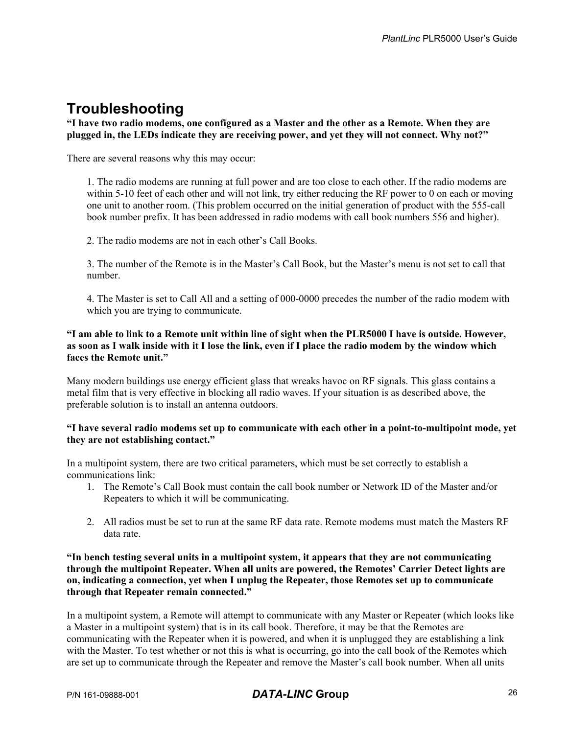### **Troubleshooting**

#### **"I have two radio modems, one configured as a Master and the other as a Remote. When they are plugged in, the LEDs indicate they are receiving power, and yet they will not connect. Why not?"**

There are several reasons why this may occur:

1. The radio modems are running at full power and are too close to each other. If the radio modems are within 5-10 feet of each other and will not link, try either reducing the RF power to 0 on each or moving one unit to another room. (This problem occurred on the initial generation of product with the 555-call book number prefix. It has been addressed in radio modems with call book numbers 556 and higher).

2. The radio modems are not in each other's Call Books.

3. The number of the Remote is in the Master's Call Book, but the Master's menu is not set to call that number.

4. The Master is set to Call All and a setting of 000-0000 precedes the number of the radio modem with which you are trying to communicate.

#### **"I am able to link to a Remote unit within line of sight when the PLR5000 I have is outside. However, as soon as I walk inside with it I lose the link, even if I place the radio modem by the window which faces the Remote unit."**

Many modern buildings use energy efficient glass that wreaks havoc on RF signals. This glass contains a metal film that is very effective in blocking all radio waves. If your situation is as described above, the preferable solution is to install an antenna outdoors.

#### **"I have several radio modems set up to communicate with each other in a point-to-multipoint mode, yet they are not establishing contact."**

In a multipoint system, there are two critical parameters, which must be set correctly to establish a communications link:

- 1. The Remote's Call Book must contain the call book number or Network ID of the Master and/or Repeaters to which it will be communicating.
- 2. All radios must be set to run at the same RF data rate. Remote modems must match the Masters RF data rate.

#### **"In bench testing several units in a multipoint system, it appears that they are not communicating through the multipoint Repeater. When all units are powered, the Remotes' Carrier Detect lights are on, indicating a connection, yet when I unplug the Repeater, those Remotes set up to communicate through that Repeater remain connected."**

In a multipoint system, a Remote will attempt to communicate with any Master or Repeater (which looks like a Master in a multipoint system) that is in its call book. Therefore, it may be that the Remotes are communicating with the Repeater when it is powered, and when it is unplugged they are establishing a link with the Master. To test whether or not this is what is occurring, go into the call book of the Remotes which are set up to communicate through the Repeater and remove the Master's call book number. When all units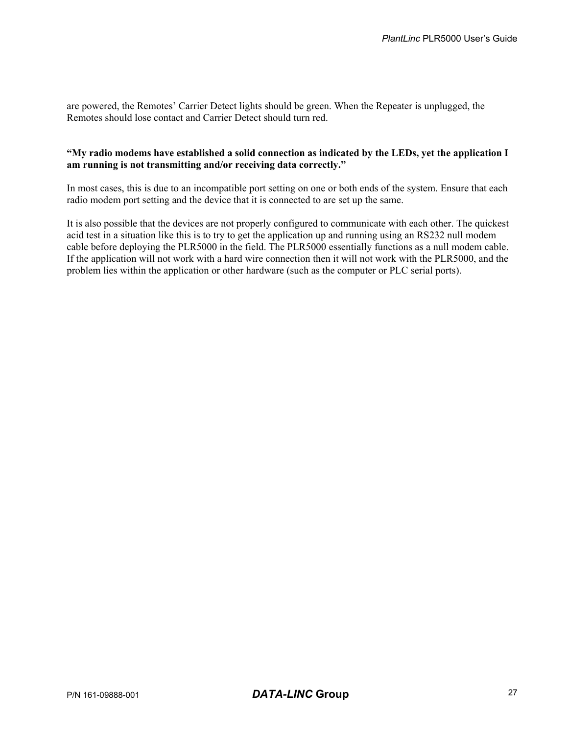are powered, the Remotes' Carrier Detect lights should be green. When the Repeater is unplugged, the Remotes should lose contact and Carrier Detect should turn red.

#### **"My radio modems have established a solid connection as indicated by the LEDs, yet the application I am running is not transmitting and/or receiving data correctly."**

In most cases, this is due to an incompatible port setting on one or both ends of the system. Ensure that each radio modem port setting and the device that it is connected to are set up the same.

It is also possible that the devices are not properly configured to communicate with each other. The quickest acid test in a situation like this is to try to get the application up and running using an RS232 null modem cable before deploying the PLR5000 in the field. The PLR5000 essentially functions as a null modem cable. If the application will not work with a hard wire connection then it will not work with the PLR5000, and the problem lies within the application or other hardware (such as the computer or PLC serial ports).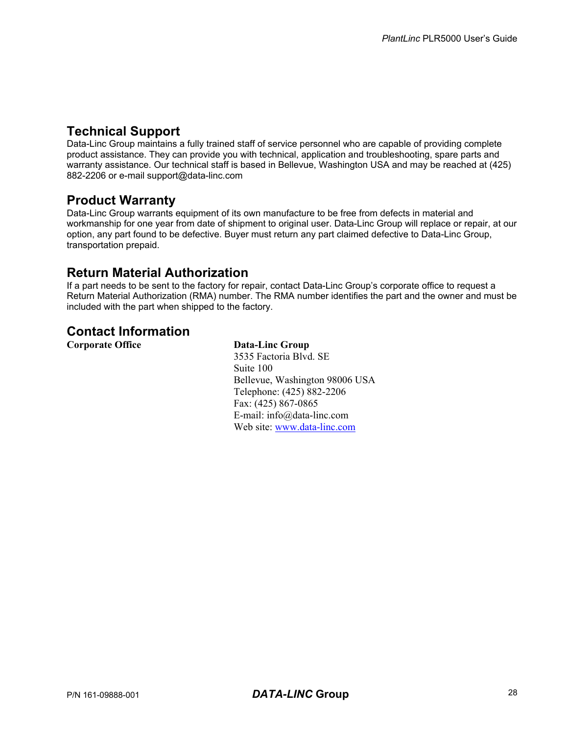### **Technical Support**

Data-Linc Group maintains a fully trained staff of service personnel who are capable of providing complete product assistance. They can provide you with technical, application and troubleshooting, spare parts and warranty assistance. Our technical staff is based in Bellevue, Washington USA and may be reached at (425) 882-2206 or e-mail support@data-linc.com

#### **Product Warranty**

Data-Linc Group warrants equipment of its own manufacture to be free from defects in material and workmanship for one year from date of shipment to original user. Data-Linc Group will replace or repair, at our option, any part found to be defective. Buyer must return any part claimed defective to Data-Linc Group, transportation prepaid.

### **Return Material Authorization**

If a part needs to be sent to the factory for repair, contact Data-Linc Group's corporate office to request a Return Material Authorization (RMA) number. The RMA number identifies the part and the owner and must be included with the part when shipped to the factory.

### **Contact Information**

**Corporate Office Data-Linc Group** 

3535 Factoria Blvd. SE Suite 100 Bellevue, Washington 98006 USA Telephone: (425) 882-2206 Fax: (425) 867-0865 E-mail: info@data-linc.com Web site: www.data-linc.com